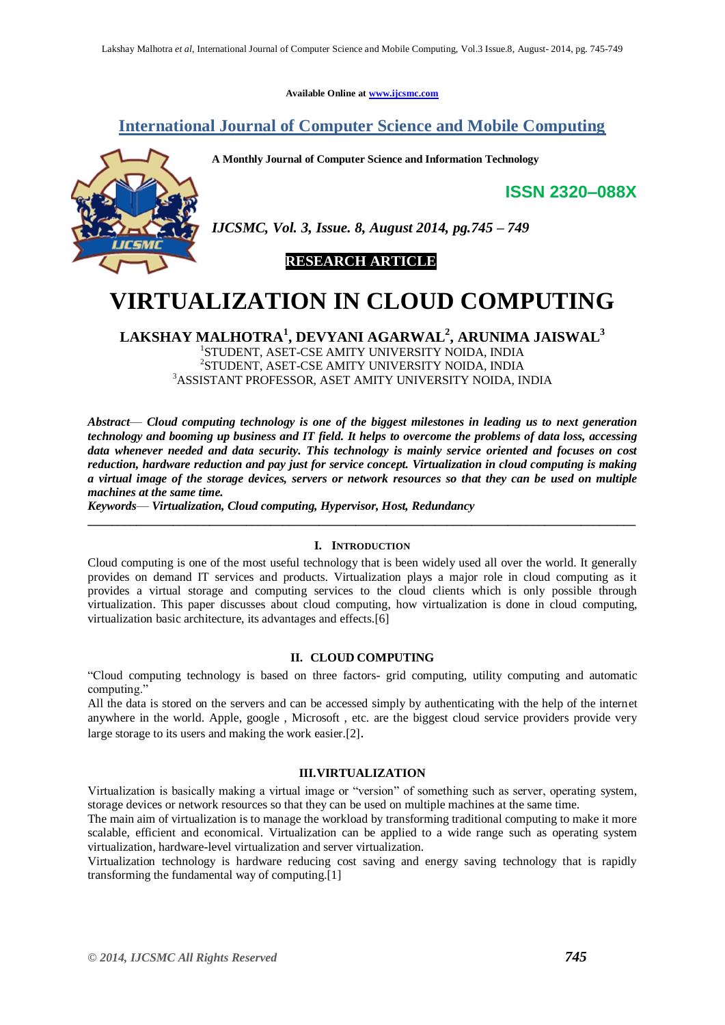**Available Online at [www.ijcsmc.com](http://www.ijcsmc.com/)**

# **International Journal of Computer Science and Mobile Computing**

**A Monthly Journal of Computer Science and Information Technology**

**ISSN 2320–088X**



*IJCSMC, Vol. 3, Issue. 8, August 2014, pg.745 – 749*



# **VIRTUALIZATION IN CLOUD COMPUTING**

**LAKSHAY MALHOTRA<sup>1</sup> , DEVYANI AGARWAL<sup>2</sup> , ARUNIMA JAISWAL<sup>3</sup>** STUDENT, ASET-CSE AMITY UNIVERSITY NOIDA, INDIA STUDENT, ASET-CSE AMITY UNIVERSITY NOIDA, INDIA ASSISTANT PROFESSOR, ASET AMITY UNIVERSITY NOIDA, INDIA

*Abstract*— *Cloud computing technology is one of the biggest milestones in leading us to next generation technology and booming up business and IT field. It helps to overcome the problems of data loss, accessing data whenever needed and data security. This technology is mainly service oriented and focuses on cost reduction, hardware reduction and pay just for service concept. Virtualization in cloud computing is making a virtual image of the storage devices, servers or network resources so that they can be used on multiple machines at the same time.*

*Keywords*— *Virtualization, Cloud computing, Hypervisor, Host, Redundancy*

#### **I. INTRODUCTION**

**\_\_\_\_\_\_\_\_\_\_\_\_\_\_\_\_\_\_\_\_\_\_\_\_\_\_\_\_\_\_\_\_\_\_\_\_\_\_\_\_\_\_\_\_\_\_\_\_\_\_\_\_\_\_\_\_\_\_\_\_\_\_\_\_\_\_\_\_\_\_\_\_\_\_\_\_\_\_\_\_\_\_\_\_\_\_\_\_\_\_**

Cloud computing is one of the most useful technology that is been widely used all over the world. It generally provides on demand IT services and products. Virtualization plays a major role in cloud computing as it provides a virtual storage and computing services to the cloud clients which is only possible through virtualization. This paper discusses about cloud computing, how virtualization is done in cloud computing, virtualization basic architecture, its advantages and effects.[6]

# **II. CLOUD COMPUTING**

"Cloud computing technology is based on three factors- grid computing, utility computing and automatic computing."

All the data is stored on the servers and can be accessed simply by authenticating with the help of the internet anywhere in the world. Apple, google , Microsoft , etc. are the biggest cloud service providers provide very large storage to its users and making the work easier.[2].

# **III.VIRTUALIZATION**

Virtualization is basically making a virtual image or "version" of something such as server, operating system, storage devices or network resources so that they can be used on multiple machines at the same time.

The main aim of virtualization is to manage the workload by transforming traditional computing to make it more scalable, efficient and economical. Virtualization can be applied to a wide range such as operating system virtualization, hardware-level virtualization and server virtualization.

Virtualization technology is hardware reducing cost saving and energy saving technology that is rapidly transforming the fundamental way of computing.[1]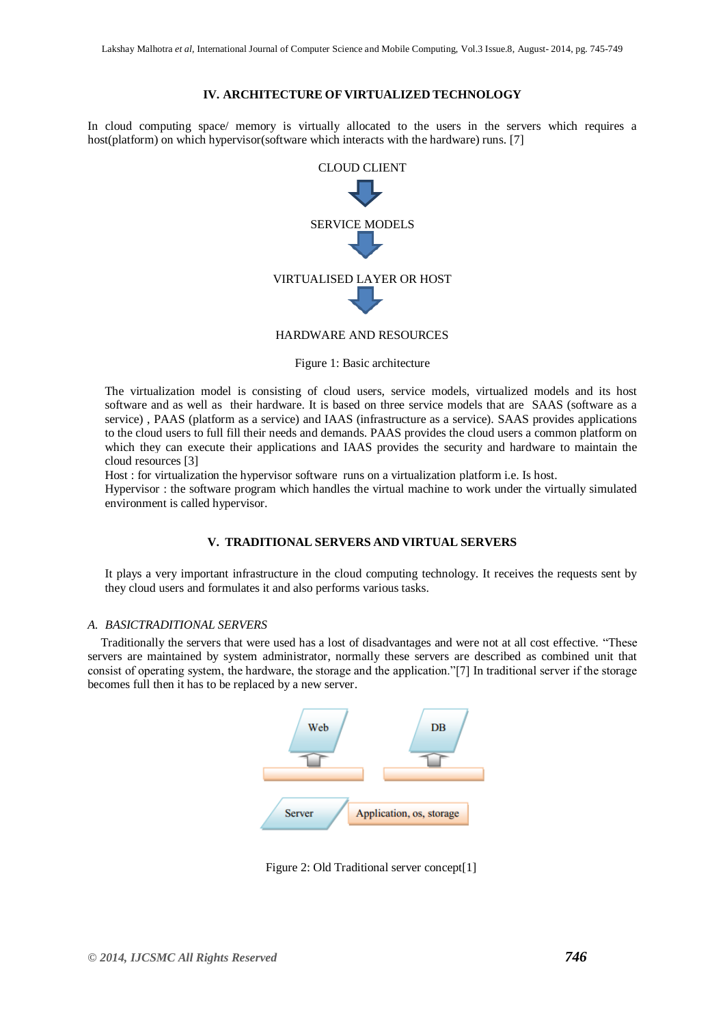# **IV. ARCHITECTURE OF VIRTUALIZED TECHNOLOGY**

In cloud computing space/ memory is virtually allocated to the users in the servers which requires a host(platform) on which hypervisor(software which interacts with the hardware) runs. [7]



Figure 1: Basic architecture

The virtualization model is consisting of cloud users, service models, virtualized models and its host software and as well as their hardware. It is based on three service models that are SAAS (software as a service) , PAAS (platform as a service) and IAAS (infrastructure as a service). SAAS provides applications to the cloud users to full fill their needs and demands. PAAS provides the cloud users a common platform on which they can execute their applications and IAAS provides the security and hardware to maintain the cloud resources [3]

Host : for virtualization the hypervisor software runs on a virtualization platform i.e. Is host.

Hypervisor : the software program which handles the virtual machine to work under the virtually simulated environment is called hypervisor.

# **V. TRADITIONAL SERVERS AND VIRTUAL SERVERS**

It plays a very important infrastructure in the cloud computing technology. It receives the requests sent by they cloud users and formulates it and also performs various tasks.

#### *A. BASICTRADITIONAL SERVERS*

Traditionally the servers that were used has a lost of disadvantages and were not at all cost effective. "These servers are maintained by system administrator, normally these servers are described as combined unit that consist of operating system, the hardware, the storage and the application."[7] In traditional server if the storage becomes full then it has to be replaced by a new server.



Figure 2: Old Traditional server concept[1]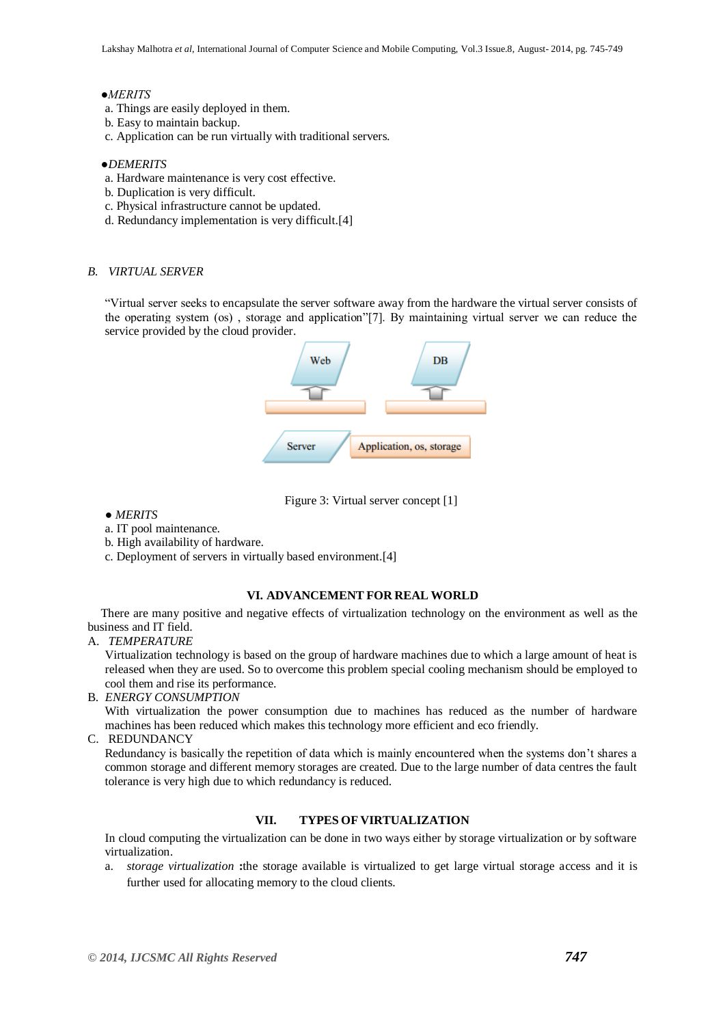#### *●MERITS*

- a. Things are easily deployed in them.
- b. Easy to maintain backup.
- c. Application can be run virtually with traditional servers.

#### ●*DEMERITS*

- a. Hardware maintenance is very cost effective.
- b. Duplication is very difficult.
- c. Physical infrastructure cannot be updated.
- d. Redundancy implementation is very difficult.[4]

# *B. VIRTUAL SERVER*

"Virtual server seeks to encapsulate the server software away from the hardware the virtual server consists of the operating system (os) , storage and application"[7]. By maintaining virtual server we can reduce the service provided by the cloud provider.





- *MERITS*
- a. IT pool maintenance.
- b. High availability of hardware.
- c. Deployment of servers in virtually based environment.[4]

#### **VI. ADVANCEMENT FOR REAL WORLD**

There are many positive and negative effects of virtualization technology on the environment as well as the business and IT field.

#### A. *TEMPERATURE*

Virtualization technology is based on the group of hardware machines due to which a large amount of heat is released when they are used. So to overcome this problem special cooling mechanism should be employed to cool them and rise its performance.

B. *ENERGY CONSUMPTION*

With virtualization the power consumption due to machines has reduced as the number of hardware machines has been reduced which makes this technology more efficient and eco friendly.

C. REDUNDANCY

Redundancy is basically the repetition of data which is mainly encountered when the systems don't shares a common storage and different memory storages are created. Due to the large number of data centres the fault tolerance is very high due to which redundancy is reduced.

# **VII. TYPES OF VIRTUALIZATION**

In cloud computing the virtualization can be done in two ways either by storage virtualization or by software virtualization.

a. *storage virtualization* **:**the storage available is virtualized to get large virtual storage access and it is further used for allocating memory to the cloud clients.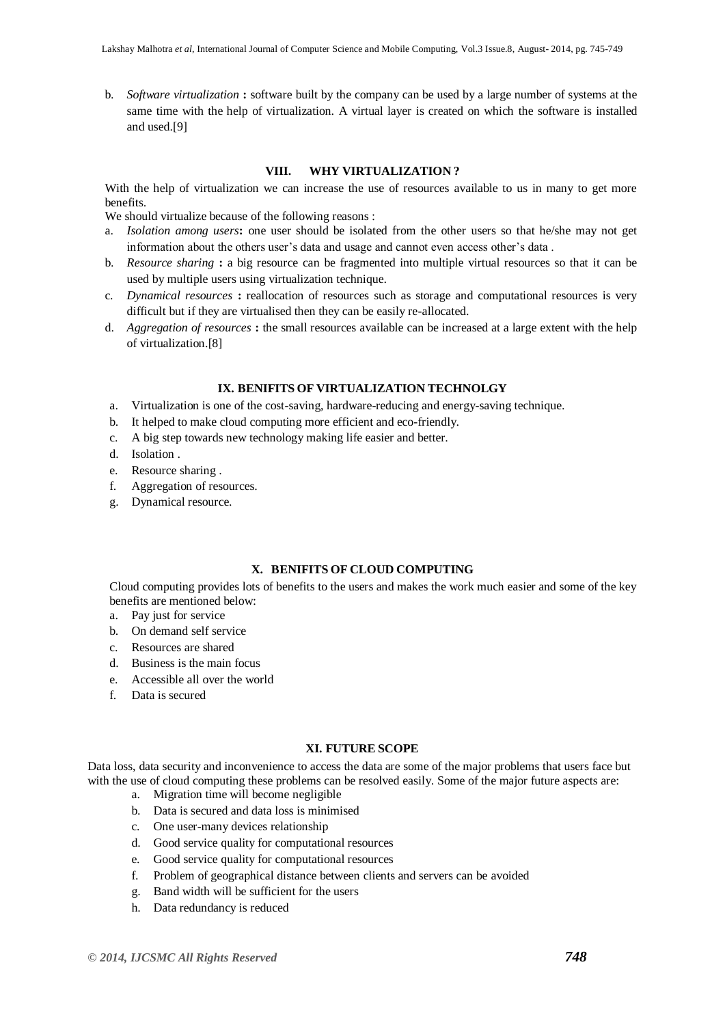b. *Software virtualization* **:** software built by the company can be used by a large number of systems at the same time with the help of virtualization. A virtual layer is created on which the software is installed and used.[9]

# **VIII. WHY VIRTUALIZATION ?**

With the help of virtualization we can increase the use of resources available to us in many to get more benefits.

We should virtualize because of the following reasons :

- a. *Isolation among users***:** one user should be isolated from the other users so that he/she may not get information about the others user's data and usage and cannot even access other's data .
- b. *Resource sharing* **:** a big resource can be fragmented into multiple virtual resources so that it can be used by multiple users using virtualization technique.
- c. *Dynamical resources* **:** reallocation of resources such as storage and computational resources is very difficult but if they are virtualised then they can be easily re-allocated.
- d. *Aggregation of resources* **:** the small resources available can be increased at a large extent with the help of virtualization.[8]

#### **IX. BENIFITS OF VIRTUALIZATION TECHNOLGY**

- a. Virtualization is one of the cost-saving, hardware-reducing and energy-saving technique.
- b. It helped to make cloud computing more efficient and eco-friendly.
- c. A big step towards new technology making life easier and better.
- d. Isolation .
- e. Resource sharing .
- f. Aggregation of resources.
- g. Dynamical resource.

# **X. BENIFITS OF CLOUD COMPUTING**

Cloud computing provides lots of benefits to the users and makes the work much easier and some of the key benefits are mentioned below:

- a. Pay just for service
- b. On demand self service
- c. Resources are shared
- d. Business is the main focus
- e. Accessible all over the world
- f. Data is secured

## **XI. FUTURE SCOPE**

Data loss, data security and inconvenience to access the data are some of the major problems that users face but with the use of cloud computing these problems can be resolved easily. Some of the major future aspects are:

- a. Migration time will become negligible
- b. Data is secured and data loss is minimised
- c. One user-many devices relationship
- d. Good service quality for computational resources
- e. Good service quality for computational resources
- f. Problem of geographical distance between clients and servers can be avoided
- g. Band width will be sufficient for the users
- h. Data redundancy is reduced